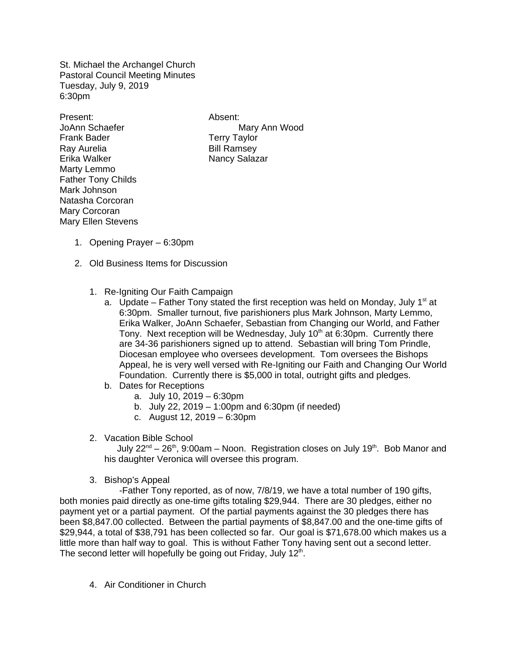St. Michael the Archangel Church Pastoral Council Meeting Minutes Tuesday, July 9, 2019 6:30pm

Present: Absent: Frank Bader Terry Taylor Ray Aurelia **Bill Ramsey** Erika Walker Nancy Salazar Marty Lemmo Father Tony Childs Mark Johnson Natasha Corcoran Mary Corcoran Mary Ellen Stevens

JoAnn Schaefer **Mary Ann Wood** 

- 1. Opening Prayer 6:30pm
- 2. Old Business Items for Discussion
	- 1. Re-Igniting Our Faith Campaign
		- a. Update Father Tony stated the first reception was held on Monday, July  $1<sup>st</sup>$  at 6:30pm. Smaller turnout, five parishioners plus Mark Johnson, Marty Lemmo, Erika Walker, JoAnn Schaefer, Sebastian from Changing our World, and Father Tony. Next reception will be Wednesday, July  $10<sup>th</sup>$  at 6:30pm. Currently there are 34-36 parishioners signed up to attend. Sebastian will bring Tom Prindle, Diocesan employee who oversees development. Tom oversees the Bishops Appeal, he is very well versed with Re-Igniting our Faith and Changing Our World Foundation. Currently there is \$5,000 in total, outright gifts and pledges.
		- b. Dates for Receptions
			- a. July 10, 2019 6:30pm
			- b. July 22, 2019 1:00pm and 6:30pm (if needed)
			- c. August 12, 2019 6:30pm
	- 2. Vacation Bible School

July 22<sup>nd</sup> – 26<sup>th</sup>, 9:00am – Noon. Registration closes on July 19<sup>th</sup>. Bob Manor and his daughter Veronica will oversee this program.

3. Bishop's Appeal

 -Father Tony reported, as of now, 7/8/19, we have a total number of 190 gifts, both monies paid directly as one-time gifts totaling \$29,944. There are 30 pledges, either no payment yet or a partial payment. Of the partial payments against the 30 pledges there has been \$8,847.00 collected. Between the partial payments of \$8,847.00 and the one-time gifts of \$29,944, a total of \$38,791 has been collected so far. Our goal is \$71,678.00 which makes us a little more than half way to goal. This is without Father Tony having sent out a second letter. The second letter will hopefully be going out Friday, July  $12<sup>th</sup>$ .

4. Air Conditioner in Church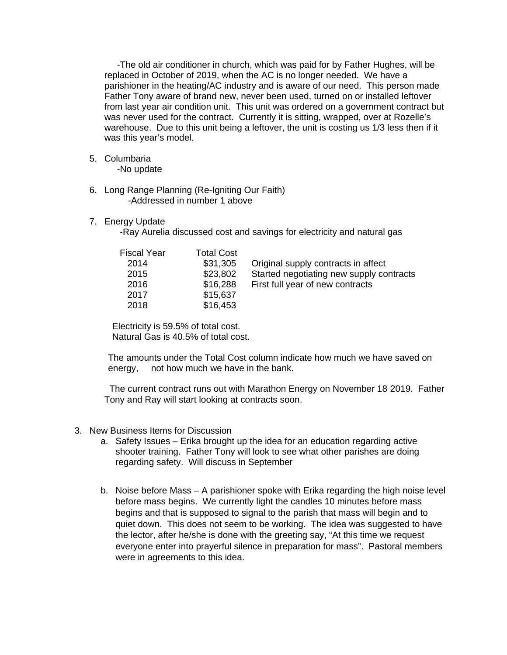-The old air conditioner in church, which was paid for by Father Hughes, will be replaced in October of 2019, when the AC is no longer needed. We have a parishioner in the heating/AC industry and is aware of our need. This person made Father Tony aware of brand new, never been used, turned on or installed leftover from last year air condition unit. This unit was ordered on a government contract but was never used for the contract. Currently it is sitting, wrapped, over at Rozelle's warehouse. Due to this unit being a leftover, the unit is costing us 1/3 less then if it was this year's model.

5. Columbaria

-No update

- 6. Long Range Planning (Re-Igniting Our Faith) -Addressed in number 1 above
- 7. Energy Update

-Ray Aurelia discussed cost and savings for electricity and natural gas

| <b>Fiscal Year</b> | <b>Total Cost</b> |                                          |
|--------------------|-------------------|------------------------------------------|
| 2014               | \$31,305          | Original supply contracts in affect      |
| 2015               | \$23,802          | Started negotiating new supply contracts |
| 2016               | \$16,288          | First full year of new contracts         |
| 2017               | \$15,637          |                                          |
| 2018               | \$16,453          |                                          |

 Electricity is 59.5% of total cost. Natural Gas is 40.5% of total cost.

The amounts under the Total Cost column indicate how much we have saved on energy, not how much we have in the bank.

 The current contract runs out with Marathon Energy on November 18, 2019. Father Tony and Ray will start looking at contracts soon.

- 3. New Business Items for Discussion
	- a. Safety Issues Erika brought up the idea for an education regarding active shooter training. Father Tony will look to see what other parishes are doing regarding safety. Will discuss in September
	- b. Noise before Mass A parishioner spoke with Erika regarding the high noise level before mass begins. We currently light the candles 10 minutes before mass begins and that is supposed to signal to the parish that mass will begin and to quiet down. This does not seem to be working. The idea was suggested to have the lector, after he/she is done with the greeting say, "At this time we request everyone enter into prayerful silence in preparation for mass". Pastoral members were in agreements to this idea.